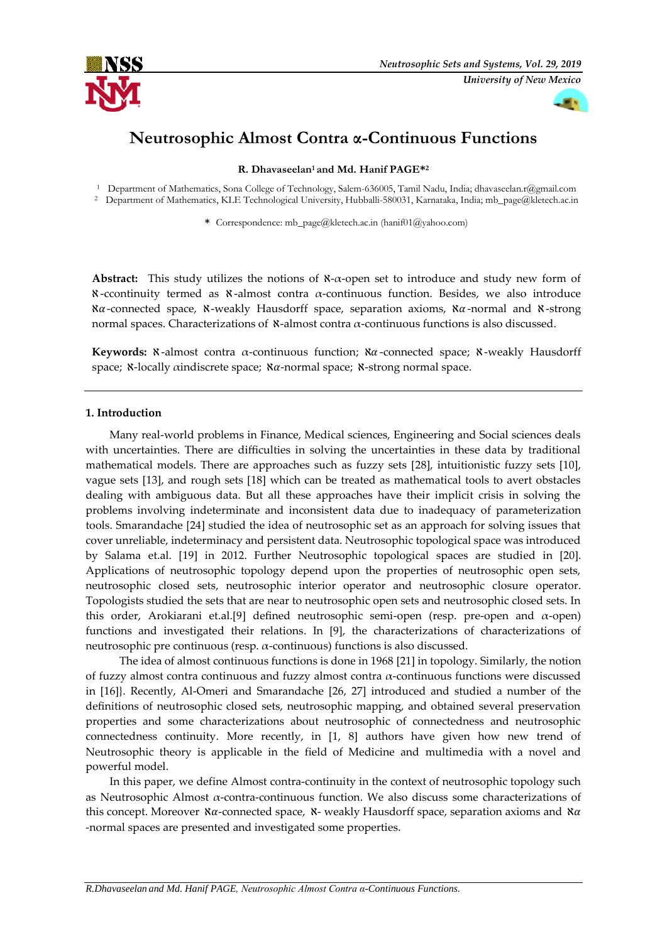



# **Neutrosophic Almost Contra α-Continuous Functions**

## **R. Dhavaseelan<sup>1</sup> and Md. Hanif PAGE\* 2**

<sup>1</sup> Department of Mathematics, Sona College of Technology, Salem-636005, Tamil Nadu, India[; dhavaseelan.r@gmail.com](mailto:dhavaseelan.r@gmail.com)

<sup>2</sup> Department of Mathematics, KLE Technological University, Hubballi-580031, Karnataka, India[; mb\\_page@kletech.ac.in](mailto:mb_page@kletech.ac.in)

**\*** Correspondence[: mb\\_page@kletech.ac.in](mailto:mb_page@kletech.ac.in) (hanif01@yahoo.com)

**Abstract:** This study utilizes the notions of ℵ-α-open set to introduce and study new form of ℵ -ccontinuity termed as ℵ -almost contra α-continuous function. Besides, we also introduce  $\alpha$ -connected space,  $\alpha$ -weakly Hausdorff space, separation axioms,  $\alpha$ -normal and  $\alpha$ -strong normal spaces. Characterizations of  $\mathcal{X}$ -almost contra α-continuous functions is also discussed.

**Keywords:** ℵ-almost contra α-continuous function; ℵ-connected space; ℵ-weakly Hausdorff space;  $\aleph$ -locally aindiscrete space;  $\aleph \alpha$ -normal space;  $\aleph$ -strong normal space.

## **1. Introduction**

Many real-world problems in Finance, Medical sciences, Engineering and Social sciences deals with uncertainties. There are difficulties in solving the uncertainties in these data by traditional mathematical models. There are approaches such as fuzzy sets [28], intuitionistic fuzzy sets [10], vague sets [13], and rough sets [18] which can be treated as mathematical tools to avert obstacles dealing with ambiguous data. But all these approaches have their implicit crisis in solving the problems involving indeterminate and inconsistent data due to inadequacy of parameterization tools. Smarandache [24] studied the idea of neutrosophic set as an approach for solving issues that cover unreliable, indeterminacy and persistent data. Neutrosophic topological space was introduced by Salama et.al. [19] in 2012. Further Neutrosophic topological spaces are studied in [20]. Applications of neutrosophic topology depend upon the properties of neutrosophic open sets, neutrosophic closed sets, neutrosophic interior operator and neutrosophic closure operator. Topologists studied the sets that are near to neutrosophic open sets and neutrosophic closed sets. In this order, Arokiarani et.al.[9] defined neutrosophic semi-open (resp. pre-open and α-open) functions and investigated their relations. In [9], the characterizations of characterizations of neutrosophic pre continuous (resp. α-continuous) functions is also discussed.

 The idea of almost continuous functions is done in 1968 [21] in topology. Similarly, the notion of fuzzy almost contra continuous and fuzzy almost contra α-continuous functions were discussed in [16]}. Recently, Al-Omeri and Smarandache [26, 27] introduced and studied a number of the definitions of neutrosophic closed sets, neutrosophic mapping, and obtained several preservation properties and some characterizations about neutrosophic of connectedness and neutrosophic connectedness continuity. More recently, in [1, 8] authors have given how new trend of Neutrosophic theory is applicable in the field of Medicine and multimedia with a novel and powerful model.

In this paper, we define Almost contra-continuity in the context of neutrosophic topology such as Neutrosophic Almost  $\alpha$ -contra-continuous function. We also discuss some characterizations of this concept. Moreover  $\alpha$ -connected space,  $\alpha$ - weakly Hausdorff space, separation axioms and  $\alpha$ -normal spaces are presented and investigated some properties.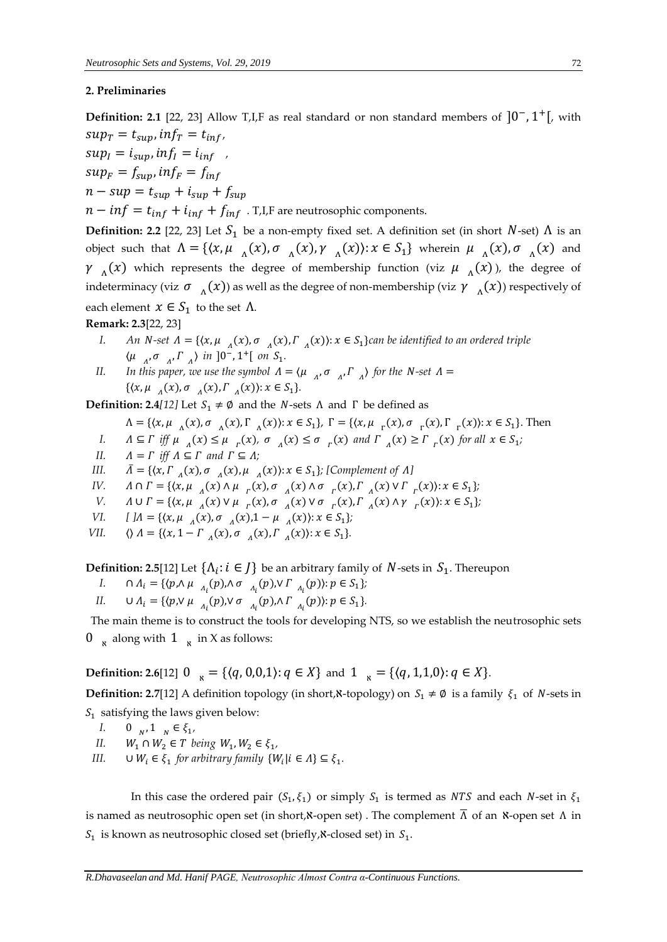## **2. Preliminaries**

**Definition: 2.1** [22, 23] Allow T,I,F as real standard or non standard members of  $]0^-, 1^+[$ , with  $sup_T = t_{sup}$ ,  $inf_T = t_{inf}$ ,  $sup_I = i_{sum}$ ,  $inf_I = i_{inf}$ 

 $sup_F = f_{sup}$ ,  $inf_F = f_{inf}$ 

$$
n - \sup = t_{\sup} + i_{\sup} + f_{\sup}
$$

 $n - inf = t_{inf} + i_{inf} + f_{inf}$ . T,I,F are neutrosophic components.

**Definition: 2.2** [22, 23] Let  $S_1$  be a non-empty fixed set. A definition set (in short  $N$ -set)  $\Lambda$  is an object such that  $\Lambda = \{ (x, \mu_{\Lambda}(x), \sigma_{\Lambda}(x), \gamma_{\Lambda}(x)) : x \in S_1 \}$  wherein  $\mu_{\Lambda}(x), \sigma_{\Lambda}(x)$  and  $\gamma_{\Lambda}(x)$  which represents the degree of membership function (viz  $\mu_{\Lambda}(x)$ ), the degree of indeterminacy (viz  $\sigma_{\Lambda}(x)$ ) as well as the degree of non-membership (viz  $\gamma_{\Lambda}(x)$ ) respectively of each element  $x \in S_1$  to the set  $\Lambda$ .

# **Remark: 2.3**[22, 23]

- *I.* An *N*-set  $\Lambda = \{ (x, \mu_{\Lambda}(x), \sigma_{\Lambda}(x), \Gamma_{\Lambda}(x) \colon x \in S_1 \}$ can be identified to an ordered triple  $\langle \mu \rangle_{A}, \sigma \rangle_{A}, \Gamma \rangle_{A}$  in  $]0^-, 1^+[$  on  $S_1$ .
- *II.* In this paper, we use the symbol  $\Lambda = \langle \mu_{\Lambda}, \sigma_{\Lambda}, \Gamma_{\Lambda} \rangle$  for the N-set  $\Lambda =$  $\{ (x, \mu_{A}(x), \sigma_{A}(x), \Gamma_{A}(x)) : x \in S_1 \}.$

**Definition: 2.4***[12]* Let  $S_1 \neq \emptyset$  and the *N*-sets  $\Lambda$  and  $\Gamma$  be defined as

$$
\Lambda = \{ (x, \mu_{\Lambda}(x), \sigma_{\Lambda}(x), \Gamma_{\Lambda}(x)) : x \in S_1 \}, \Gamma = \{ (x, \mu_{\Gamma}(x), \sigma_{\Gamma}(x), \Gamma_{\Gamma}(x)) : x \in S_1 \}.
$$
 Then

- *I.*  $\Lambda \subseteq \Gamma$  iff  $\mu_{\Lambda}(x) \leq \mu_{\Gamma}(x)$ ,  $\sigma_{\Lambda}(x) \leq \sigma_{\Gamma}(x)$  and  $\Gamma_{\Lambda}(x) \geq \Gamma_{\Gamma}(x)$  for all  $x \in S_1$ ;
- *II.*  $A = \Gamma$  *iff*  $A \subseteq \Gamma$  *and*  $\Gamma \subseteq A$ ;
- *III.*  $\bar{\Lambda} = \{ (x, \Gamma_{\Lambda}(x), \sigma_{\Lambda}(x), \mu_{\Lambda}(x)) : x \in S_1 \}$ ; [Complement of  $\Lambda$ ]
- *IV.*  $\Lambda \cap \Gamma = \{ (x, \mu_{\Lambda}(x) \land \mu_{\Gamma}(x), \sigma_{\Lambda}(x) \land \sigma_{\Gamma}(x), \Gamma_{\Lambda}(x) \lor \Gamma_{\Gamma}(x) \} : x \in S_1 \};$
- *V.*  $\Lambda \cup \Gamma = \{ (x, \mu_{\Lambda}(x) \vee \mu_{\Gamma}(x), \sigma_{\Lambda}(x) \vee \sigma_{\Gamma}(x), \Gamma_{\Lambda}(x) \wedge \gamma_{\Gamma}(x)) : x \in S_1 \};$
- *VI.*  $[M = \{(x, \mu_{A}(x), \sigma_{A}(x), 1 \mu_{A}(x)) : x \in S_1\};\)$
- *VII.*  $\langle A = \{ (x, 1 \Gamma_A(x), \sigma_A(x), \Gamma_A(x)) : x \in S_1 \}.$

**Definition: 2.5**[12] Let  $\{\Lambda_i : i \in J\}$  be an arbitrary family of  $N$ -sets in  $S_1$ . Thereupon

- *I.*  $\cap A_i = \{ (p, \land \mu_{A_i}(p), \land \sigma_{A_i}(p), \lor \Gamma_{A_i}(p)) : p \in S_1 \};$
- *II.*  $\cup A_i = \{ \langle p, \vee \mu_{A_i}(p), \vee \sigma_{A_i}(p), \wedge \Gamma_{A_i}(p) \rangle : p \in S_1 \}.$

The main theme is to construct the tools for developing NTS, so we establish the neutrosophic sets 0  $\pi$  along with 1  $\pi$  in X as follows:

**Definition: 2.6**[12]  $0_{\infty} = \{ (q, 0, 0, 1) : q \in X \}$  and  $1_{\infty} = \{ (q, 1, 1, 0) : q \in X \}.$ 

**Definition: 2.7[12]** A definition topology (in short,  $\mathbf{X}$ -topology) on  $S_1 \neq \emptyset$  is a family  $\xi_1$  of  $N$ -sets in  $S_1$  satisfying the laws given below:

- *I.* 0  $_{N}$ , 1  $_{N} \in \xi_{1}$ ,
- *II.*  $W_1 \cap W_2 \in T$  being  $W_1, W_2 \in \xi_1$ ,
- *III.*  $\cup W_i \in \xi_1$  for arbitrary family  $\{W_i | i \in \Lambda\} \subseteq \xi_1$ .

In this case the ordered pair  $(S_1, \xi_1)$  or simply  $S_1$  is termed as *NTS* and each *N*-set in  $\xi_1$ is named as neutrosophic open set (in short,  $\alpha$ -open set). The complement  $\overline{\Lambda}$  of an  $\alpha$ -open set  $\Lambda$  in  $S_1$  is known as neutrosophic closed set (briefly, $\aleph$ -closed set) in  $S_1.$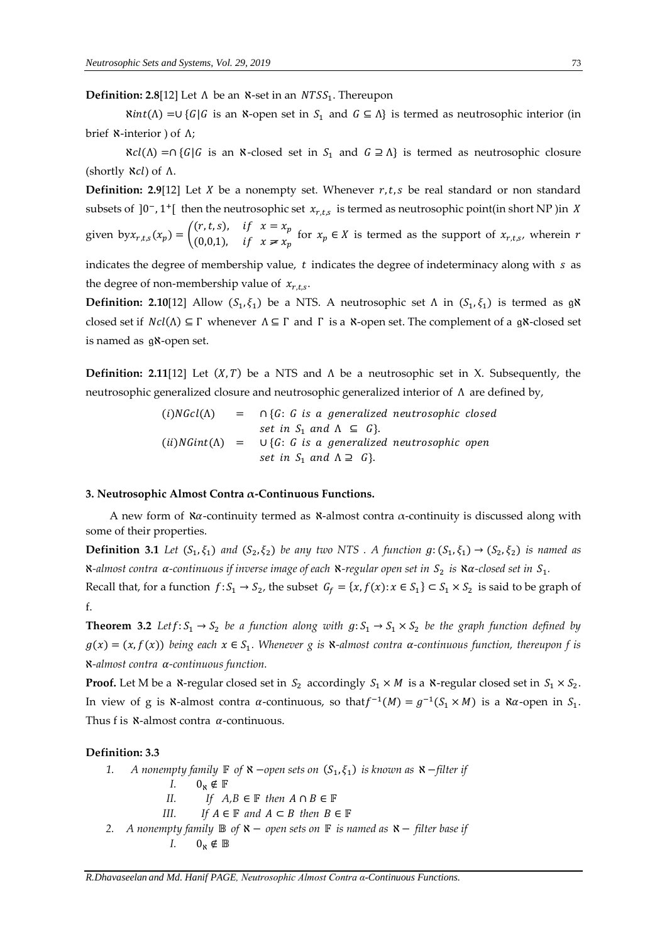**Definition: 2.8**[12] Let  $\Lambda$  be an  $\kappa$ -set in an  $NTSS_1$ . Thereupon

 $\aleph int(Λ) = ∪ {G|G}$  is an N-open set in  $S_1$  and  $G ⊆ Λ$ } is termed as neutrosophic interior (in brief ℵ-interior ) of Λ;

 $\aleph cl(\Lambda) = \bigcap \{ G | G$  is an  $\aleph$ -closed set in  $S_1$  and  $G \supseteq \Lambda \}$  is termed as neutrosophic closure (shortly  $\aleph c$ ) of Λ.

**Definition: 2.9**[12] Let *X* be a nonempty set. Whenever  $r, t, s$  be real standard or non standard subsets of ]0<sup>-</sup>, 1<sup>+</sup>[ then the neutrosophic set  $x_{r,t,s}$  is termed as neutrosophic point(in short NP) in X given by  $x_{r,t,s}(x_p) = \begin{pmatrix} (r,t,s), & \text{if } x = x_p \\ (0,0,1) & \text{if } x \neq r \end{pmatrix}$ (0,0,1), if  $x \neq x_p$  for  $x_p \in X$  is termed as the support of  $x_{r,t,s}$ , wherein r

indicates the degree of membership value,  $t$  indicates the degree of indeterminacy along with  $s$  as the degree of non-membership value of  $x_{r,t,s}$ .

**Definition: 2.10**[12] Allow  $(S_1, \xi_1)$  be a NTS. A neutrosophic set  $\Lambda$  in  $(S_1, \xi_1)$  is termed as g**N** closed set if  $Ncl(\Lambda) \subseteq \Gamma$  whenever  $\Lambda \subseteq \Gamma$  and  $\Gamma$  is a  $\Lambda$ -open set. The complement of a g $\Lambda$ -closed set is named as gx-open set.

**Definition: 2.11**[12] Let  $(X, T)$  be a NTS and  $\Lambda$  be a neutrosophic set in X. Subsequently, the neutrosophic generalized closure and neutrosophic generalized interior of Λ are defined by,

> $(i)NGcl(\Lambda)$  =  $\bigcap {G : G \text{ is a generalized neutrosophic closed}}$ set in  $S_1$  and  $\Lambda \subseteq G$ . (ii)NGint( $\Lambda$ ) =  $\cup$ {G: G is a generalized neutrosophic open set in  $S_1$  and  $\Lambda \supseteq G$ .

#### **3. Neutrosophic Almost Contra α-Continuous Functions.**

A new form of  $\alpha$ -continuity termed as  $\alpha$ -almost contra  $\alpha$ -continuity is discussed along with some of their properties.

**Definition 3.1** Let  $(S_1, \xi_1)$  and  $(S_2, \xi_2)$  be any two NTS . A function  $g: (S_1, \xi_1) \to (S_2, \xi_2)$  is named as  $\alpha$ -almost contra α-continuous if inverse image of each  $\alpha$ -regular open set in  $S_2$  is  $\alpha$ -closed set in  $S_1.$ 

Recall that, for a function  $f: S_1 \to S_2$ , the subset  $G_f = \{x, f(x): x \in S_1\} \subset S_1 \times S_2$  is said to be graph of f.

**Theorem 3.2** *Let*  $f: S_1 \to S_2$  *be a function along with*  $g: S_1 \to S_1 \times S_2$  *be the graph function defined by*  $g(x) = (x, f(x))$  being each  $x \in S_1$ . Whenever g is  $\aleph$ -almost contra  $\alpha$ -continuous function, thereupon f is ℵ*-almost contra -continuous function.* 

**Proof.** Let M be a  $\kappa$ -regular closed set in  $S_2$  accordingly  $S_1 \times M$  is a  $\kappa$ -regular closed set in  $S_1 \times S_2$ . In view of g is  $\aleph$ -almost contra  $\alpha$ -continuous, so that  $f^{-1}(M) = g^{-1}(S_1 \times M)$  is a  $\aleph \alpha$ -open in  $S_1$ . Thus f is  $\mathcal{R}$ -almost contra  $\alpha$ -continuous.

#### **Definition: 3.3**

*1. A nonempty family* **F** *of*  $\mathsf{X}$  −*open sets on* ( $S_1$ , $\xi_1$ ) *is known as*  $\mathsf{X}$  −*filter if I.*  $0_x \notin \mathbb{F}$ *II. If*  $A, B \in \mathbb{F}$  then  $A \cap B \in \mathbb{F}$ *III. If*  $A \in \mathbb{F}$  and  $A \subset B$  then  $B \in \mathbb{F}$ *2. A nonempty family*  $\mathbb B$  *of*  $\mathbb X$  − *open sets on*  $\mathbb F$  *is named as*  $\mathbb X$  − *filter base if I.*  $0_x \notin \mathbb{B}$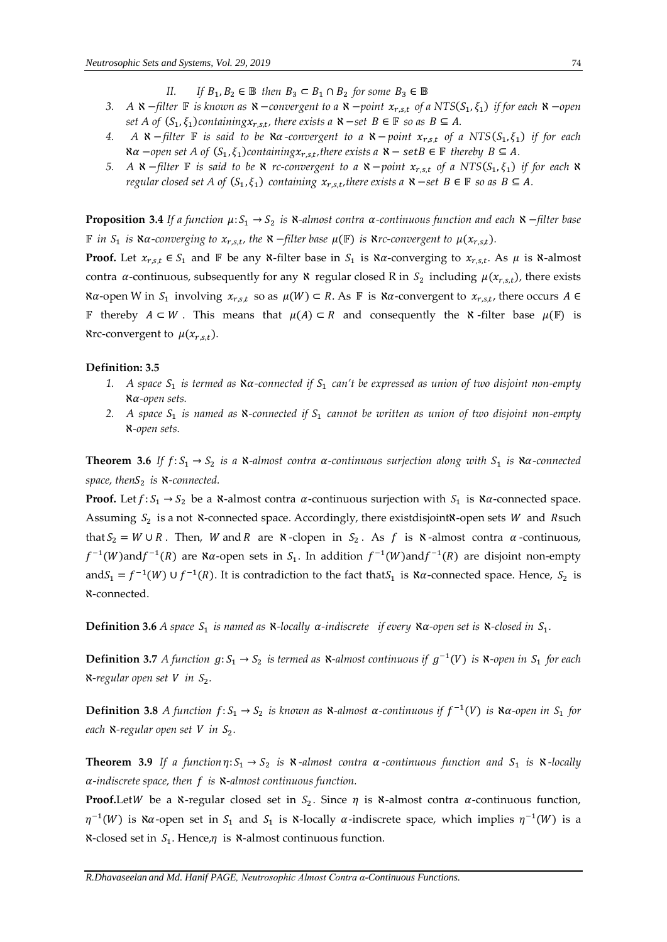- *II. If*  $B_1, B_2 \in \mathbb{B}$  then  $B_3 \subset B_1 \cap B_2$  for some  $B_3 \in \mathbb{B}$
- *3. A X*−*filter* **F** is known as *X*−*convergent to a X−point*  $x_{r,s,t}$  *of a NTS(S<sub>1</sub>, ξ<sub>1</sub>) if for each X−open set A* of  $(S_1, \xi_1)$  *containing* $x_{r,s,t}$ , there exists *a*  $\mathbf{X}$  −*set*  $B \in \mathbb{F}$  *so as*  $B \subseteq A$ *.*
- *4. A N*−*filter* **F** *is said to be Nα-convergent to a N*−*point*  $x_{r,s,t}$  *of a NTS*( $S_1$ , $\xi_1$ ) *if for each*  $\aleph \alpha$  −open set A of  $(S_1, \xi_1)$ containing $x_{r,s,t}$ , there exists a  $\aleph$  − setB ∈  $\mathbb F$  thereby B ⊆ A.
- *5. A* **×**−*filter* **F** *is said to be × <i>rc-convergent to a* **×**−*point*  $x_{r,s,t}$  *of a* NTS(S<sub>1</sub>, ξ<sub>1</sub>) *if for each* **×** *regular closed set A of*  $(S_1, \xi_1)$  *containing*  $x_{r,s,t}$ , *there exists a*  $\mathcal{X}$  −*set*  $B \in \mathbb{F}$  *so as*  $B \subseteq A$ *.*

**Proposition 3.4** *If a function µ*:  $S_1$  →  $S_2$  *is N-almost contra α-continuous function and each N-filter base F* in S<sub>1</sub> is Nα-converging to  $x_{r,s,t}$ , the N −filter base  $\mu$ (**F**) is Nrc-convergent to  $\mu$ ( $x_{r,s,t}$ ).

**Proof.** Let  $x_{r,s,t} \in S_1$  and  $\mathbb F$  be any  $\aleph$ -filter base in  $S_1$  is  $\aleph \alpha$ -converging to  $x_{r,s,t}$ . As  $\mu$  is  $\aleph$ -almost contra  $\alpha$ -continuous, subsequently for any  $\aleph$  regular closed R in  $S_2$  including  $\mu(x_{r,s,t})$ , there exists  $\aleph \alpha$ -open W in  $S_1$  involving  $x_{r,s,t}$  so as  $\mu(W) \subset R$ . As  $\mathbb F$  is  $\aleph \alpha$ -convergent to  $x_{r,s,t}$ , there occurs  $A \in$ F thereby  $A \subset W$ . This means that  $\mu(A) \subset R$  and consequently the  $\aleph$ -filter base  $\mu(F)$  is Nrc-convergent to  $\mu(x_{r,s,t})$ .

#### **Definition: 3.5**

- 1. A space  $S_1$  is termed as  $\aleph \alpha$ -connected if  $S_1$  can't be expressed as union of two disjoint non-empty ℵ*-open sets.*
- 2. A space S<sub>1</sub> is named as **N**-connected if S<sub>1</sub> cannot be written as union of two disjoint non-empty ℵ*-open sets.*

**Theorem 3.6** If  $f: S_1 \to S_2$  is a  $\aleph$ -almost contra  $\alpha$ -continuous surjection along with  $S_1$  is  $\aleph \alpha$ -connected *space, then*<sup>2</sup> *is* ℵ*-connected.* 

**Proof.** Let  $f: S_1 \to S_2$  be a  $\aleph$ -almost contra  $\alpha$ -continuous surjection with  $S_1$  is  $\aleph \alpha$ -connected space. Assuming  $S_2$  is a not  $\aleph$ -connected space. Accordingly, there existdisjoint $\aleph$ -open sets W and Rsuch that  $S_2 = W \cup R$ . Then, W and R are  $\aleph$ -clopen in  $S_2$ . As f is  $\aleph$ -almost contra  $\alpha$ -continuous,  $f^{-1}(W)$ and $f^{-1}(R)$  are  $\aleph \alpha$ -open sets in  $S_1$ . In addition  $f^{-1}(W)$ and $f^{-1}(R)$  are disjoint non-empty and  $S_1 = f^{-1}(W) \cup f^{-1}(R)$ . It is contradiction to the fact that  $S_1$  is  $\aleph \alpha$ -connected space. Hence,  $S_2$  is ℵ-connected.

**Definition 3.6** *A space*  $S_1$  *is named as*  $\mathbf{\hat{x}}$ -locally  $\alpha$ -indiscrete if every  $\alpha$ -open set is  $\alpha$ -closed in  $S_1$ .

**Definition 3.7** *A function*  $g: S_1 \to S_2$  *is termed as N-almost continuous if*  $g^{-1}(V)$  *is N-open in*  $S_1$  *for each* ℵ*-regular open set in* <sup>2</sup> *.* 

**Definition 3.8** *A function*  $f: S_1 \to S_2$  *is known as*  $\aleph$ -*almost*  $\alpha$ -continuous if  $f^{-1}(V)$  *is*  $\aleph \alpha$ -open in  $S_1$  for *each* ℵ*-regular open set in* <sup>2</sup> *.* 

**Theorem 3.9** If a function  $\eta: S_1 \to S_2$  is  $\kappa$ -almost contra  $\alpha$ -continuous function and  $S_1$  is  $\kappa$ -locally *-indiscrete space, then is* ℵ*-almost continuous function.* 

**Proof.**LetW be a  $\kappa$ -regular closed set in  $S_2$ . Since  $\eta$  is  $\kappa$ -almost contra  $\alpha$ -continuous function,  $\eta^{-1}(W)$  is  $\alpha$ -open set in  $S_1$  and  $S_1$  is  $\alpha$ -locally  $\alpha$ -indiscrete space, which implies  $\eta^{-1}(W)$  is a  $\mathcal{R}$ -closed set in  $S_1$ . Hence, $\eta$  is  $\mathcal{R}$ -almost continuous function.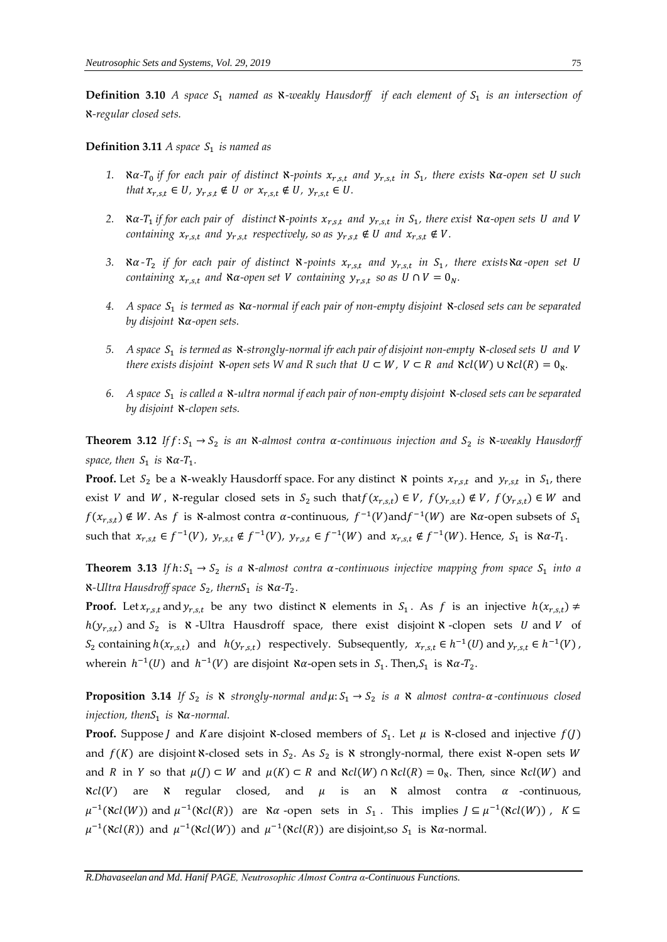**Definition 3.10** A space  $S_1$  named as  $\aleph$ -weakly Hausdorff if each element of  $S_1$  is an intersection of ℵ*-regular closed sets.* 

**Definition 3.11** *A space*  $S_1$  *is named as* 

- 1.  $\alpha$ -T<sub>0</sub> if for each pair of distinct  $\alpha$ -points  $x_{r,s,t}$  and  $y_{r,s,t}$  in  $S_1$ , there exists  $\alpha$ -open set U such *that*  $x_{r,s,t} \in U$ ,  $y_{r,s,t} \notin U$  or  $x_{r,s,t} \notin U$ ,  $y_{r,s,t} \in U$ .
- 2. *Na-T***<sub>1</sub>** if for each pair of distinct **X**-points  $x_{r,s,t}$  and  $y_{r,s,t}$  in  $S_1$ , there exist **Na**-open sets U and V *containing*  $x_{r,s,t}$  and  $y_{r,s,t}$  respectively, so as  $y_{r,s,t} \notin U$  and  $x_{r,s,t} \notin V$ .
- 3.  $\alpha$ -T<sub>2</sub> if for each pair of distinct  $\alpha$ -points  $x_{r,s,t}$  and  $y_{r,s,t}$  in  $S_1$ , there exists $\alpha$ -open set U *containing*  $x_{r,s,t}$  *and*  $\aleph \alpha$ -open set *V* containing  $y_{r,s,t}$  so as  $U \cap V = 0_N$ .
- *4. A space* <sup>1</sup> *is termed as* ℵ*-normal if each pair of non-empty disjoint* ℵ*-closed sets can be separated by disjoint* ℵ*-open sets.*
- 5. A space  $S_1$  is termed as <code>x-strongly-normal</code> ifr each pair of disjoint non-empty <code>x-closed</code> sets <code>U</code> and <code>V</code> *there exists disjoint*  $\aleph$ -open sets W and R such that  $U \subset W$ ,  $V \subset R$  and  $\aleph cl(W) \cup \aleph cl(R) = 0_{\aleph}$ .
- *6. A space* <sup>1</sup> *is called a* ℵ*-ultra normal if each pair of non-empty disjoint* ℵ*-closed sets can be separated by disjoint* ℵ*-clopen sets.*

**Theorem 3.12** If  $f: S_1 \to S_2$  is an  $\aleph$ -almost contra  $\alpha$ -continuous injection and  $S_2$  is  $\aleph$ -weakly Hausdorff space, then  $S_1$  is  $\alpha$ - $T_1$ .

**Proof.** Let  $S_2$  be a  $\aleph$ -weakly Hausdorff space. For any distinct  $\aleph$  points  $x_{r,s,t}$  and  $y_{r,s,t}$  in  $S_1$ , there exist V and W,  $\aleph$ -regular closed sets in  $S_2$  such that  $f(x_{r,s,t}) \in V$ ,  $f(y_{r,s,t}) \notin V$ ,  $f(y_{r,s,t}) \in W$  and  $f(x_{r,s,t}) \notin W$ . As f is  $\aleph$ -almost contra  $\alpha$ -continuous,  $f^{-1}(V)$  and  $f^{-1}(W)$  are  $\aleph \alpha$ -open subsets of  $S_1$ such that  $x_{r,s,t} \in f^{-1}(V)$ ,  $y_{r,s,t} \notin f^{-1}(V)$ ,  $y_{r,s,t} \in f^{-1}(W)$  and  $x_{r,s,t} \notin f^{-1}(W)$ . Hence,  $S_1$  is  $\aleph \alpha$ - $T_1$ .

**Theorem 3.13** If  $h: S_1 \to S_2$  is a  $\aleph$ -almost contra  $\alpha$ -continuous injective mapping from space  $S_1$  into a  $\kappa$ -Ultra Hausdroff space  $S_2$ , thern $S_1$  is  $\kappa \alpha$ -T<sub>2</sub>.

**Proof.** Let  $x_{r,s,t}$  and  $y_{r,s,t}$  be any two distinct **X** elements in  $S_1$ . As f is an injective  $h(x_{r,s,t}) \neq$  $h(y_{r,s,t})$  and  $S_2$  is  $\aleph$ -Ultra Hausdroff space, there exist disjoint  $\aleph$ -clopen sets U and V of  $S_2$  containing  $h(x_{r,s,t})$  and  $h(y_{r,s,t})$  respectively. Subsequently,  $x_{r,s,t} \in h^{-1}(U)$  and  $y_{r,s,t} \in h^{-1}(V)$ , wherein  $h^{-1}(U)$  and  $h^{-1}(V)$  are disjoint  $\aleph \alpha$ -open sets in  $S_1$ . Then,  $S_1$  is  $\aleph \alpha$ - $T_2$ .

**Proposition 3.14** If  $S_2$  is  $\aleph$  strongly-normal and  $\mu$ :  $S_1 \rightarrow S_2$  is a  $\aleph$  almost contra- $\alpha$ -continuous closed *injection, thenS*<sub>1</sub> *is* **×**α-normal.

**Proof.** Suppose J and Kare disjoint **x**-closed members of  $S_1$ . Let  $\mu$  is **x**-closed and injective  $f(J)$ and  $f(K)$  are disjoint  $\aleph$ -closed sets in  $S_2$ . As  $S_2$  is  $\aleph$  strongly-normal, there exist  $\aleph$ -open sets W and *R* in *Y* so that  $\mu(J) \subset W$  and  $\mu(K) \subset R$  and  $\aleph cl(W) \cap \aleph cl(R) = 0_\aleph$ . Then, since  $\aleph cl(W)$  and  $\aleph{cl}(V)$  are  $\aleph$  regular closed, and  $\mu$  is an  $\aleph$  almost contra  $\alpha$  -continuous,  $\mu^{-1}(\text{N}cl(W))$  and  $\mu^{-1}(\text{N}cl(R))$  are  $\text{N}\alpha$  -open sets in S<sub>1</sub>. This implies  $J \subseteq \mu^{-1}(\text{N}cl(W))$ , K ⊆  $\mu^{-1}(\aleph cl(R))$  and  $\mu^{-1}(\aleph cl(W))$  and  $\mu^{-1}(\aleph cl(R))$  are disjoint,so  $S_1$  is  $\aleph \alpha$ -normal.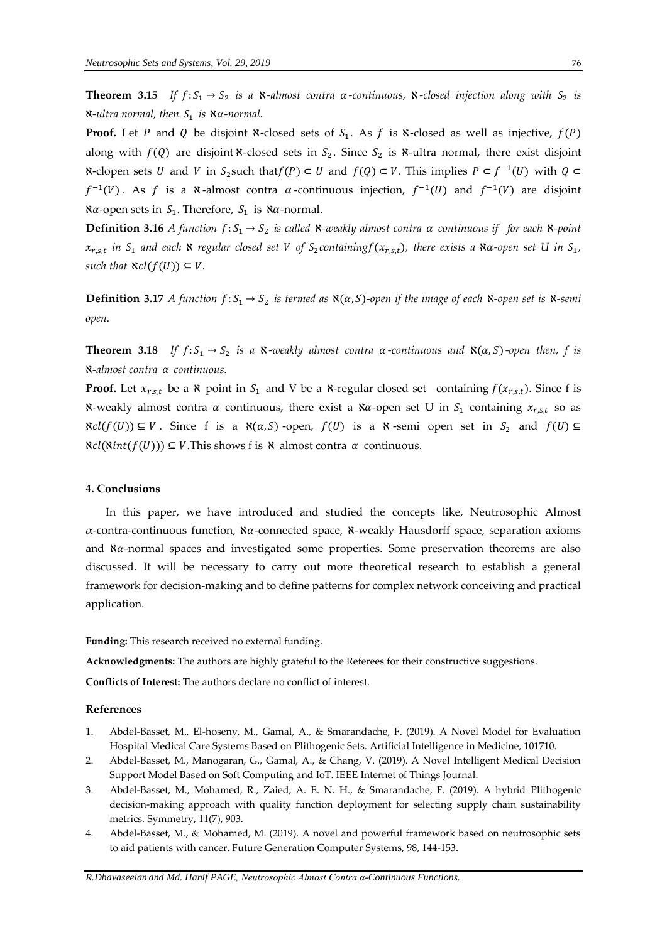**Theorem 3.15** If  $f: S_1 \to S_2$  is a  $\kappa$ -almost contra  $\alpha$ -continuous,  $\kappa$ -closed injection along with  $S_2$  is  $\kappa$ -ultra normal, then  $S_1$  is  $\kappa \alpha$ -normal.

**Proof.** Let P and Q be disjoint  $\aleph$ -closed sets of  $S_1$ . As f is  $\aleph$ -closed as well as injective,  $f(P)$ along with  $f(Q)$  are disjoint **x**-closed sets in  $S_2$ . Since  $S_2$  is **x**-ultra normal, there exist disjoint **N**-clopen sets *U* and *V* in *S*<sub>2</sub>such that  $f(P) \subset U$  and  $f(Q) \subset V$ . This implies  $P \subset f^{-1}(U)$  with  $Q \subset$  $f^{-1}(V)$ . As f is a  $\aleph$ -almost contra  $\alpha$ -continuous injection,  $f^{-1}(U)$  and  $f^{-1}(V)$  are disjoint  $\alpha$ -open sets in  $S_1$ . Therefore,  $S_1$  is  $\alpha$ -normal.

**Definition 3.16** *A* function  $f: S_1 \to S_2$  is called  $\aleph$ -weakly almost contra  $\alpha$  continuous if for each  $\aleph$ -point  $x_{r,s,t}$  in  $S_1$  and each  $\aleph$  regular closed set V of  $S_2$ containing $f(x_{r,s,t})$ , there exists a  $\aleph a$ -open set U in  $S_1$ , *such that*  $\aleph cl(f(U)) \subseteq V$ .

**Definition 3.17** *A* function  $f: S_1 \to S_2$  is termed as  $\aleph(\alpha, S)$ -open if the image of each  $\aleph$ -open set is  $\aleph$ -semi *open.* 

**Theorem 3.18** If  $f: S_1 \to S_2$  is a  $\aleph$ -weakly almost contra  $\alpha$ -continuous and  $\aleph(\alpha, S)$ -open then, f is ℵ*-almost contra continuous.* 

**Proof.** Let  $x_{r,s,t}$  be a  $\aleph$  point in  $S_1$  and V be a  $\aleph$ -regular closed set containing  $f(x_{r,s,t})$ . Since f is  $\aleph$ -weakly almost contra  $\alpha$  continuous, there exist a  $\aleph \alpha$ -open set U in  $S_1$  containing  $x_{r,s,t}$  so as  $\aleph{cl}(f(U)) \subseteq V$ . Since f is a  $\aleph{(\alpha, S)}$ -open,  $f(U)$  is a  $\aleph$ -semi open set in  $S_2$  and  $f(U) \subseteq V$ .  $\aleph{cl}(\aleph{int}(f(U))) \subseteq V$ . This shows f is  $\aleph$  almost contra  $\alpha$  continuous.

#### **4. Conclusions**

 In this paper, we have introduced and studied the concepts like, Neutrosophic Almost  $α$ -contra-continuous function,  $α$ -connected space,  $α$ -weakly Hausdorff space, separation axioms and  $\alpha$ -normal spaces and investigated some properties. Some preservation theorems are also discussed. It will be necessary to carry out more theoretical research to establish a general framework for decision-making and to define patterns for complex network conceiving and practical application.

**Funding:** This research received no external funding.

**Acknowledgments:** The authors are highly grateful to the Referees for their constructive suggestions.

**Conflicts of Interest:** The authors declare no conflict of interest.

### **References**

- 1. Abdel-Basset, M., El-hoseny, M., Gamal, A., & Smarandache, F. (2019). A Novel Model for Evaluation Hospital Medical Care Systems Based on Plithogenic Sets. Artificial Intelligence in Medicine, 101710.
- 2. Abdel-Basset, M., Manogaran, G., Gamal, A., & Chang, V. (2019). A Novel Intelligent Medical Decision Support Model Based on Soft Computing and IoT. IEEE Internet of Things Journal.
- 3. Abdel-Basset, M., Mohamed, R., Zaied, A. E. N. H., & Smarandache, F. (2019). A hybrid Plithogenic decision-making approach with quality function deployment for selecting supply chain sustainability metrics. Symmetry, 11(7), 903.
- 4. Abdel-Basset, M., & Mohamed, M. (2019). A novel and powerful framework based on neutrosophic sets to aid patients with cancer. Future Generation Computer Systems, 98, 144-153.